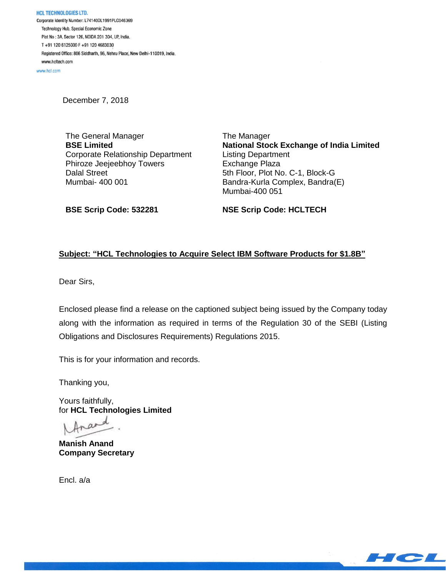**HCL TECHNOLOGIES LTD.** Corporate Identity Number: L74140DL1991PLC046369 Technology Hub, Special Economic Zone Plot No: 3A, Sector 126, NOIDA 201 304, UP, India. T+91 120 6125000 F+91 120 4683030 Registered Office: 806 Siddharth, 96, Nehru Place, New Delhi-110019, India. www.hcltech.com

www.hcl.com

December 7, 2018

The General Manager **BSE Limited** Corporate Relationship Department Phiroze Jeejeebhoy Towers Dalal Street Mumbai- 400 001

The Manager **National Stock Exchange of India Limited** Listing Department Exchange Plaza 5th Floor, Plot No. C-1, Block-G Bandra-Kurla Complex, Bandra(E) Mumbai-400 051

**BSE Scrip Code: 532281**

**NSE Scrip Code: HCLTECH**

## **Subject: "HCL Technologies to Acquire Select IBM Software Products for \$1.8B"**

Dear Sirs,

Enclosed please find a release on the captioned subject being issued by the Company today along with the information as required in terms of the Regulation 30 of the SEBI (Listing Obligations and Disclosures Requirements) Regulations 2015.

This is for your information and records.

Thanking you,

Yours faithfully, for **HCL Technologies Limited**

**Manish Anand Company Secretary**

Encl. a/a

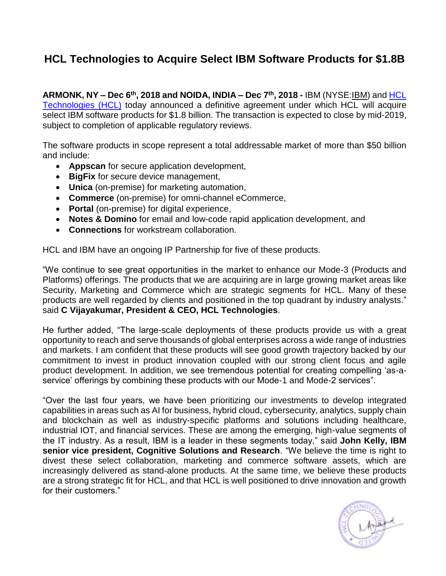# **HCL Technologies to Acquire Select IBM Software Products for \$1.8B**

**ARMONK, NY – Dec 6th, 2018 and NOIDA, INDIA – Dec 7th , 2018 -** IBM (NYSE[:IBM\)](https://ibm.com/investor) and [HCL](mailto:www.hcltech.com)  [Technologies \(HCL\)](mailto:www.hcltech.com) today announced a definitive agreement under which HCL will acquire select IBM software products for \$1.8 billion. The transaction is expected to close by mid-2019, subject to completion of applicable regulatory reviews.

The software products in scope represent a total addressable market of more than \$50 billion and include:

- **Appscan** for secure application development,
- **BigFix** for secure device management,
- **Unica** (on-premise) for marketing automation,
- **Commerce** (on-premise) for omni-channel eCommerce,
- **Portal** (on-premise) for digital experience,
- **Notes & Domino** for email and low-code rapid application development, and
- **Connections** for workstream collaboration.

HCL and IBM have an ongoing IP Partnership for five of these products.

"We continue to see great opportunities in the market to enhance our Mode-3 (Products and Platforms) offerings. The products that we are acquiring are in large growing market areas like Security, Marketing and Commerce which are strategic segments for HCL. Many of these products are well regarded by clients and positioned in the top quadrant by industry analysts." said **C Vijayakumar, President & CEO, HCL Technologies**.

He further added, "The large-scale deployments of these products provide us with a great opportunity to reach and serve thousands of global enterprises across a wide range of industries and markets. I am confident that these products will see good growth trajectory backed by our commitment to invest in product innovation coupled with our strong client focus and agile product development. In addition, we see tremendous potential for creating compelling 'as-aservice' offerings by combining these products with our Mode-1 and Mode-2 services".

"Over the last four years, we have been prioritizing our investments to develop integrated capabilities in areas such as AI for business, hybrid cloud, cybersecurity, analytics, supply chain and blockchain as well as industry-specific platforms and solutions including healthcare, industrial IOT, and financial services. These are among the emerging, high-value segments of the IT industry. As a result, IBM is a leader in these segments today," said **John Kelly, IBM senior vice president, Cognitive Solutions and Research**. "We believe the time is right to divest these select collaboration, marketing and commerce software assets, which are increasingly delivered as stand-alone products. At the same time, we believe these products are a strong strategic fit for HCL, and that HCL is well positioned to drive innovation and growth for their customers."

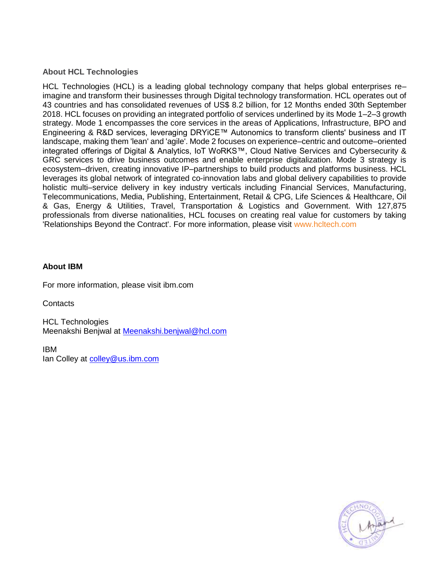## **About HCL Technologies**

HCL Technologies (HCL) is a leading global technology company that helps global enterprises re– imagine and transform their businesses through Digital technology transformation. HCL operates out of 43 countries and has consolidated revenues of US\$ 8.2 billion, for 12 Months ended 30th September 2018. HCL focuses on providing an integrated portfolio of services underlined by its Mode 1–2–3 growth strategy. Mode 1 encompasses the core services in the areas of Applications, Infrastructure, BPO and Engineering & R&D services, leveraging DRYiCE™ Autonomics to transform clients' business and IT landscape, making them 'lean' and 'agile'. Mode 2 focuses on experience–centric and outcome–oriented integrated offerings of Digital & Analytics, IoT WoRKS™, Cloud Native Services and Cybersecurity & GRC services to drive business outcomes and enable enterprise digitalization. Mode 3 strategy is ecosystem–driven, creating innovative IP–partnerships to build products and platforms business. HCL leverages its global network of integrated co-innovation labs and global delivery capabilities to provide holistic multi–service delivery in key industry verticals including Financial Services, Manufacturing, Telecommunications, Media, Publishing, Entertainment, Retail & CPG, Life Sciences & Healthcare, Oil & Gas, Energy & Utilities, Travel, Transportation & Logistics and Government. With 127,875 professionals from diverse nationalities, HCL focuses on creating real value for customers by taking 'Relationships Beyond the Contract'. For more information, please visit [www.hcltech.com](http://www.hcltech.com/) 

## **About IBM**

For more information, please visit ibm.com

**Contacts** 

HCL Technologies Meenakshi Benjwal at [Meenakshi.benjwal@hcl.com](mailto:Meenakshi.benjwal@hcl.com)

IBM Ian Colley at [colley@us.ibm.com](mailto:colley@us.ibm.com)

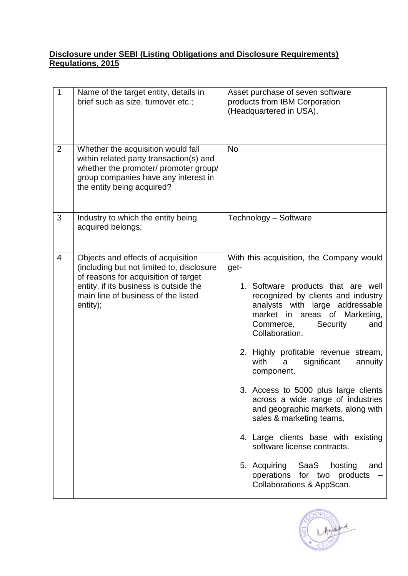# **Disclosure under SEBI (Listing Obligations and Disclosure Requirements) Regulations, 2015**

| 1              | Name of the target entity, details in<br>brief such as size, turnover etc.;                                                                                                                                          | Asset purchase of seven software<br>products from IBM Corporation<br>(Headquartered in USA).                                                                                                                                                                                                                                                                                                                                                                                                                                                                                                                                                                                  |
|----------------|----------------------------------------------------------------------------------------------------------------------------------------------------------------------------------------------------------------------|-------------------------------------------------------------------------------------------------------------------------------------------------------------------------------------------------------------------------------------------------------------------------------------------------------------------------------------------------------------------------------------------------------------------------------------------------------------------------------------------------------------------------------------------------------------------------------------------------------------------------------------------------------------------------------|
| $\overline{2}$ | Whether the acquisition would fall<br>within related party transaction(s) and<br>whether the promoter/ promoter group/<br>group companies have any interest in<br>the entity being acquired?                         | <b>No</b>                                                                                                                                                                                                                                                                                                                                                                                                                                                                                                                                                                                                                                                                     |
| 3              | Industry to which the entity being<br>acquired belongs;                                                                                                                                                              | Technology - Software                                                                                                                                                                                                                                                                                                                                                                                                                                                                                                                                                                                                                                                         |
| 4              | Objects and effects of acquisition<br>(including but not limited to, disclosure<br>of reasons for acquisition of target<br>entity, if its business is outside the<br>main line of business of the listed<br>entity); | With this acquisition, the Company would<br>get-<br>1. Software products that are well<br>recognized by clients and industry<br>analysts with large addressable<br>market in areas of Marketing,<br>Commerce,<br>Security<br>and<br>Collaboration.<br>2. Highly profitable revenue<br>stream,<br>with<br>significant<br>a<br>annuity<br>component.<br>Access to 5000 plus large clients<br>3.<br>across a wide range of industries<br>and geographic markets, along with<br>sales & marketing teams.<br>4. Large clients base with existing<br>software license contracts.<br>5. Acquiring SaaS<br>hosting<br>and<br>operations for two products<br>Collaborations & AppScan. |